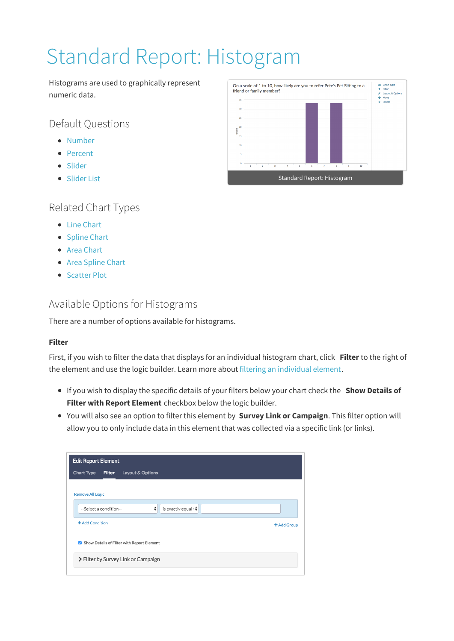# Standard Report: Histogram

Histograms are used to graphically represent numeric data.

Default Questions

- Number
- Percent
- Slider
- Slider List

# Related Chart Types

- Line Chart
- Spline Chart
- Area Chart
- Area Spline Chart
- Scatter Plot

## Available Options for Histograms

There are a number of options available for histograms.

## **Filter**

First, if you wish to filter the data that displays for an individual histogram chart, click **Filter** to the right of the element and use the logic builder. Learn more about filtering an individual element.

- If you wish to display the specific details of your filters below your chart check the **Show Details of Filter with Report Element** checkbox below the logic builder.
- You will also see an option to filter this element by **Survey Link or Campaign**. This filter option will allow you to only include data in this element that was collected via a specific link (or links).

| <b>Edit Report Element</b>                                                    |             |
|-------------------------------------------------------------------------------|-------------|
| Filter<br>Chart Type<br>Layout & Options                                      |             |
| <b>Remove All Logic</b><br>÷<br>is exactly equal t♦<br>--Select a condition-- |             |
| + Add Condition                                                               | + Add Group |
| Show Details of Filter with Report Element                                    |             |
| > Filter by Survey Link or Campaign                                           |             |
|                                                                               |             |